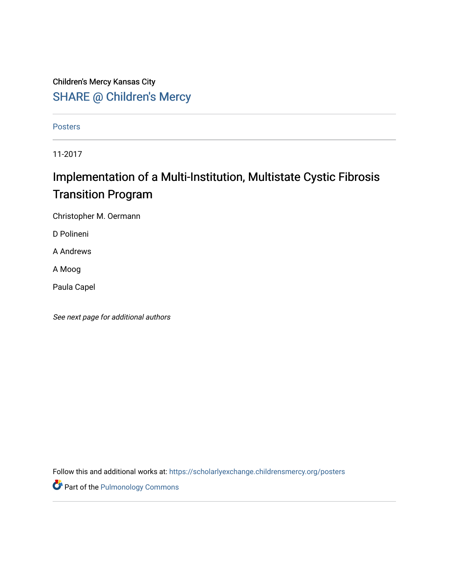### Children's Mercy Kansas City SHARE @ Children's Mercy

**Posters** 

11-2017

## Implementation of a Multi-Institution, Multistate Cystic Fibrosis Transition Program

Christopher M. Oermann

D Polineni

A Andrews

A Moog

Paula Capel

See next page for additional authors

Follow this and additional works at: [https://scholarlyexchange.childrensmercy.org/posters](https://scholarlyexchange.childrensmercy.org/posters?utm_source=scholarlyexchange.childrensmercy.org%2Fposters%2F256&utm_medium=PDF&utm_campaign=PDFCoverPages) 

**Part of the [Pulmonology Commons](http://network.bepress.com/hgg/discipline/1363?utm_source=scholarlyexchange.childrensmercy.org%2Fposters%2F256&utm_medium=PDF&utm_campaign=PDFCoverPages)**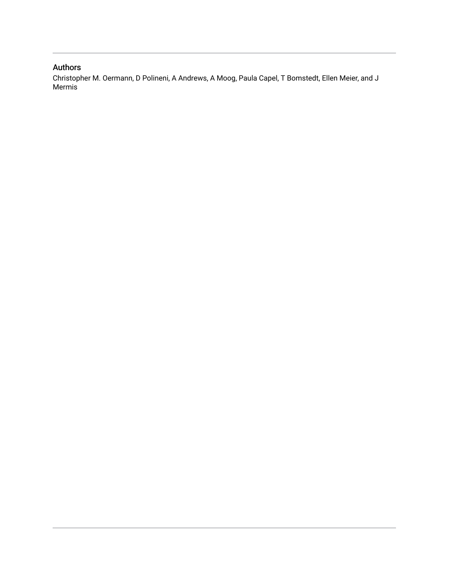### Authors

Christopher M. Oermann, D Polineni, A Andrews, A Moog, Paula Capel, T Bomstedt, Ellen Meier, and J Mermis